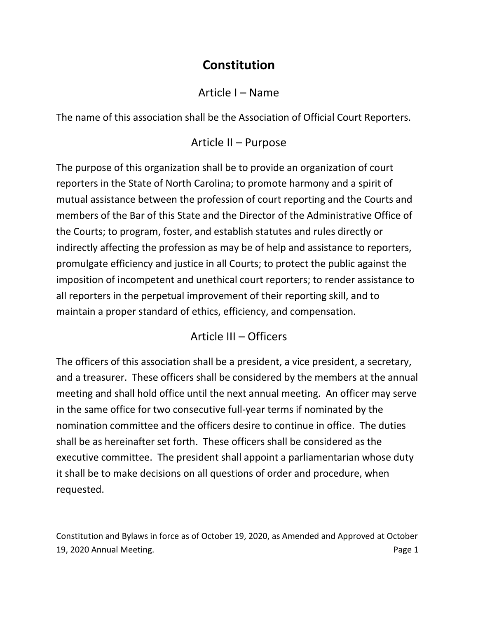# **Constitution**

#### Article I – Name

The name of this association shall be the Association of Official Court Reporters.

### Article II – Purpose

The purpose of this organization shall be to provide an organization of court reporters in the State of North Carolina; to promote harmony and a spirit of mutual assistance between the profession of court reporting and the Courts and members of the Bar of this State and the Director of the Administrative Office of the Courts; to program, foster, and establish statutes and rules directly or indirectly affecting the profession as may be of help and assistance to reporters, promulgate efficiency and justice in all Courts; to protect the public against the imposition of incompetent and unethical court reporters; to render assistance to all reporters in the perpetual improvement of their reporting skill, and to maintain a proper standard of ethics, efficiency, and compensation.

### Article III – Officers

The officers of this association shall be a president, a vice president, a secretary, and a treasurer. These officers shall be considered by the members at the annual meeting and shall hold office until the next annual meeting. An officer may serve in the same office for two consecutive full-year terms if nominated by the nomination committee and the officers desire to continue in office. The duties shall be as hereinafter set forth. These officers shall be considered as the executive committee. The president shall appoint a parliamentarian whose duty it shall be to make decisions on all questions of order and procedure, when requested.

Constitution and Bylaws in force as of October 19, 2020, as Amended and Approved at October 19, 2020 Annual Meeting. Page 1 and the state of the state of the state of the state of the state of the state of the state of the state of the state of the state of the state of the state of the state of the state of the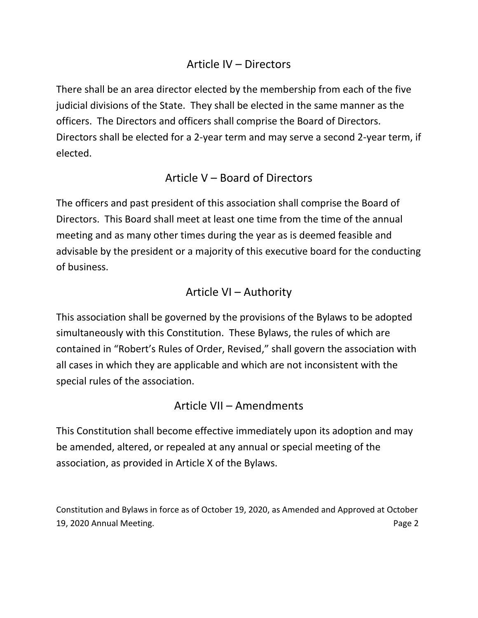#### Article IV – Directors

There shall be an area director elected by the membership from each of the five judicial divisions of the State. They shall be elected in the same manner as the officers. The Directors and officers shall comprise the Board of Directors. Directors shall be elected for a 2-year term and may serve a second 2-year term, if elected.

#### Article V – Board of Directors

The officers and past president of this association shall comprise the Board of Directors. This Board shall meet at least one time from the time of the annual meeting and as many other times during the year as is deemed feasible and advisable by the president or a majority of this executive board for the conducting of business.

#### Article VI – Authority

This association shall be governed by the provisions of the Bylaws to be adopted simultaneously with this Constitution. These Bylaws, the rules of which are contained in "Robert's Rules of Order, Revised," shall govern the association with all cases in which they are applicable and which are not inconsistent with the special rules of the association.

#### Article VII – Amendments

This Constitution shall become effective immediately upon its adoption and may be amended, altered, or repealed at any annual or special meeting of the association, as provided in Article X of the Bylaws.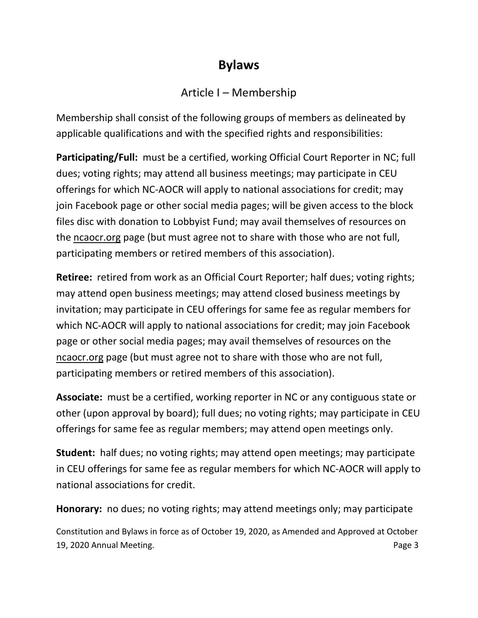# **Bylaws**

### Article I – Membership

Membership shall consist of the following groups of members as delineated by applicable qualifications and with the specified rights and responsibilities:

**Participating/Full:** must be a certified, working Official Court Reporter in NC; full dues; voting rights; may attend all business meetings; may participate in CEU offerings for which NC-AOCR will apply to national associations for credit; may join Facebook page or other social media pages; will be given access to the block files disc with donation to Lobbyist Fund; may avail themselves of resources on the ncaocr.org page (but must agree not to share with those who are not full, participating members or retired members of this association).

**Retiree:** retired from work as an Official Court Reporter; half dues; voting rights; may attend open business meetings; may attend closed business meetings by invitation; may participate in CEU offerings for same fee as regular members for which NC-AOCR will apply to national associations for credit; may join Facebook page or other social media pages; may avail themselves of resources on the ncaocr.org page (but must agree not to share with those who are not full, participating members or retired members of this association).

**Associate:** must be a certified, working reporter in NC or any contiguous state or other (upon approval by board); full dues; no voting rights; may participate in CEU offerings for same fee as regular members; may attend open meetings only.

**Student:** half dues; no voting rights; may attend open meetings; may participate in CEU offerings for same fee as regular members for which NC-AOCR will apply to national associations for credit.

**Honorary:** no dues; no voting rights; may attend meetings only; may participate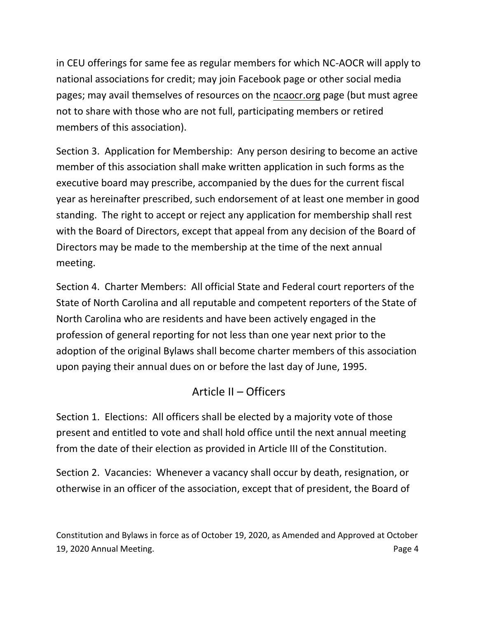in CEU offerings for same fee as regular members for which NC-AOCR will apply to national associations for credit; may join Facebook page or other social media pages; may avail themselves of resources on the ncaocr.org page (but must agree not to share with those who are not full, participating members or retired members of this association).

Section 3. Application for Membership: Any person desiring to become an active member of this association shall make written application in such forms as the executive board may prescribe, accompanied by the dues for the current fiscal year as hereinafter prescribed, such endorsement of at least one member in good standing. The right to accept or reject any application for membership shall rest with the Board of Directors, except that appeal from any decision of the Board of Directors may be made to the membership at the time of the next annual meeting.

Section 4. Charter Members: All official State and Federal court reporters of the State of North Carolina and all reputable and competent reporters of the State of North Carolina who are residents and have been actively engaged in the profession of general reporting for not less than one year next prior to the adoption of the original Bylaws shall become charter members of this association upon paying their annual dues on or before the last day of June, 1995.

# Article II – Officers

Section 1. Elections: All officers shall be elected by a majority vote of those present and entitled to vote and shall hold office until the next annual meeting from the date of their election as provided in Article III of the Constitution.

Section 2. Vacancies: Whenever a vacancy shall occur by death, resignation, or otherwise in an officer of the association, except that of president, the Board of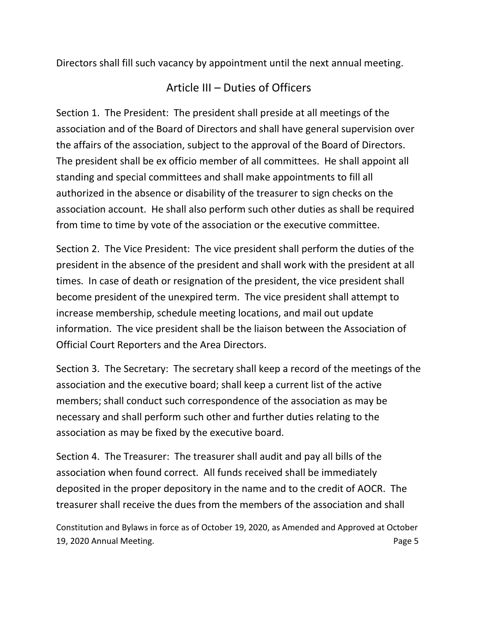Directors shall fill such vacancy by appointment until the next annual meeting.

### Article III – Duties of Officers

Section 1. The President: The president shall preside at all meetings of the association and of the Board of Directors and shall have general supervision over the affairs of the association, subject to the approval of the Board of Directors. The president shall be ex officio member of all committees. He shall appoint all standing and special committees and shall make appointments to fill all authorized in the absence or disability of the treasurer to sign checks on the association account. He shall also perform such other duties as shall be required from time to time by vote of the association or the executive committee.

Section 2. The Vice President: The vice president shall perform the duties of the president in the absence of the president and shall work with the president at all times. In case of death or resignation of the president, the vice president shall become president of the unexpired term. The vice president shall attempt to increase membership, schedule meeting locations, and mail out update information. The vice president shall be the liaison between the Association of Official Court Reporters and the Area Directors.

Section 3. The Secretary: The secretary shall keep a record of the meetings of the association and the executive board; shall keep a current list of the active members; shall conduct such correspondence of the association as may be necessary and shall perform such other and further duties relating to the association as may be fixed by the executive board.

Section 4. The Treasurer: The treasurer shall audit and pay all bills of the association when found correct. All funds received shall be immediately deposited in the proper depository in the name and to the credit of AOCR. The treasurer shall receive the dues from the members of the association and shall

Constitution and Bylaws in force as of October 19, 2020, as Amended and Approved at October 19, 2020 Annual Meeting. Page 5 and the state of the state of the state of the state of the state of the state of the state of the state of the state of the state of the state of the state of the state of the state of the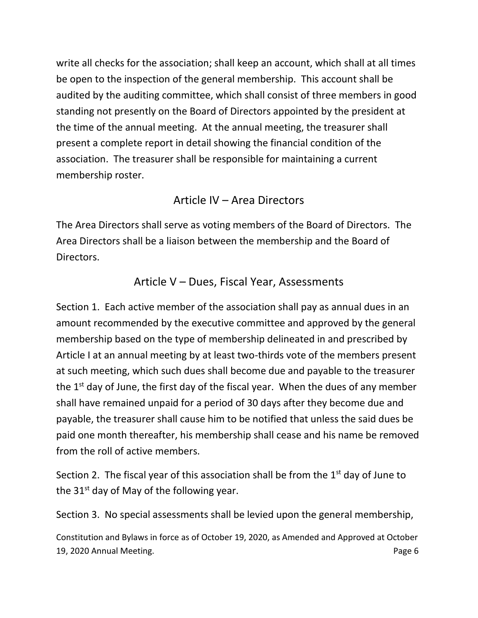write all checks for the association; shall keep an account, which shall at all times be open to the inspection of the general membership. This account shall be audited by the auditing committee, which shall consist of three members in good standing not presently on the Board of Directors appointed by the president at the time of the annual meeting. At the annual meeting, the treasurer shall present a complete report in detail showing the financial condition of the association. The treasurer shall be responsible for maintaining a current membership roster.

#### Article IV – Area Directors

The Area Directors shall serve as voting members of the Board of Directors. The Area Directors shall be a liaison between the membership and the Board of Directors.

#### Article V – Dues, Fiscal Year, Assessments

Section 1. Each active member of the association shall pay as annual dues in an amount recommended by the executive committee and approved by the general membership based on the type of membership delineated in and prescribed by Article I at an annual meeting by at least two-thirds vote of the members present at such meeting, which such dues shall become due and payable to the treasurer the  $1<sup>st</sup>$  day of June, the first day of the fiscal year. When the dues of any member shall have remained unpaid for a period of 30 days after they become due and payable, the treasurer shall cause him to be notified that unless the said dues be paid one month thereafter, his membership shall cease and his name be removed from the roll of active members.

Section 2. The fiscal year of this association shall be from the  $1<sup>st</sup>$  day of June to the  $31<sup>st</sup>$  day of May of the following year.

Section 3. No special assessments shall be levied upon the general membership,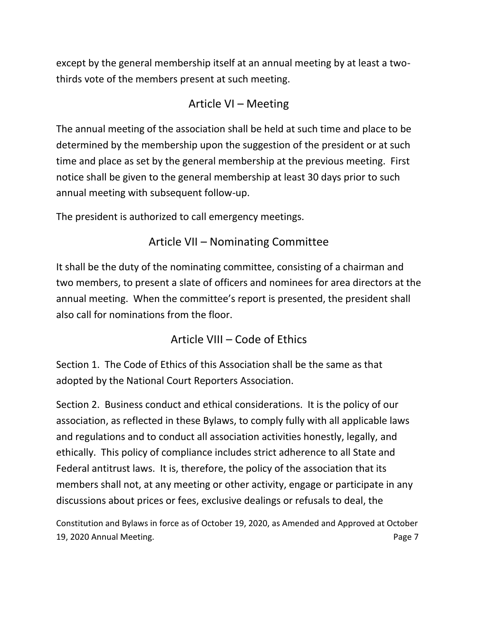except by the general membership itself at an annual meeting by at least a twothirds vote of the members present at such meeting.

# Article VI – Meeting

The annual meeting of the association shall be held at such time and place to be determined by the membership upon the suggestion of the president or at such time and place as set by the general membership at the previous meeting. First notice shall be given to the general membership at least 30 days prior to such annual meeting with subsequent follow-up.

The president is authorized to call emergency meetings.

# Article VII – Nominating Committee

It shall be the duty of the nominating committee, consisting of a chairman and two members, to present a slate of officers and nominees for area directors at the annual meeting. When the committee's report is presented, the president shall also call for nominations from the floor.

# Article VIII – Code of Ethics

Section 1. The Code of Ethics of this Association shall be the same as that adopted by the National Court Reporters Association.

Section 2. Business conduct and ethical considerations. It is the policy of our association, as reflected in these Bylaws, to comply fully with all applicable laws and regulations and to conduct all association activities honestly, legally, and ethically. This policy of compliance includes strict adherence to all State and Federal antitrust laws. It is, therefore, the policy of the association that its members shall not, at any meeting or other activity, engage or participate in any discussions about prices or fees, exclusive dealings or refusals to deal, the

Constitution and Bylaws in force as of October 19, 2020, as Amended and Approved at October 19, 2020 Annual Meeting. Page 7 and 2011 19, 2020 Annual Meeting.